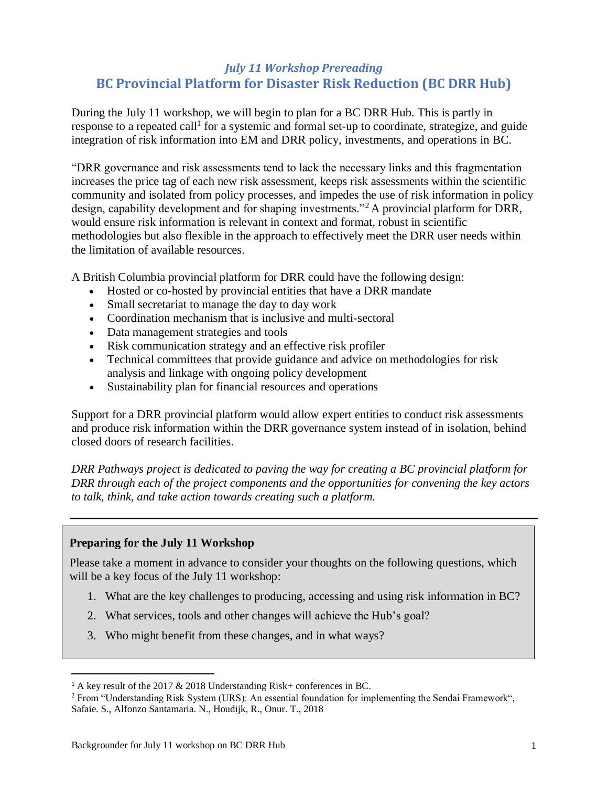## *July 11 Workshop Prereading* **BC Provincial Platform for Disaster Risk Reduction (BC DRR Hub)**

During the July 11 workshop, we will begin to plan for a BC DRR Hub. This is partly in response to a repeated call<sup>1</sup> for a systemic and formal set-up to coordinate, strategize, and guide integration of risk information into EM and DRR policy, investments, and operations in BC.

"DRR governance and risk assessments tend to lack the necessary links and this fragmentation increases the price tag of each new risk assessment, keeps risk assessments within the scientific community and isolated from policy processes, and impedes the use of risk information in policy design, capability development and for shaping investments."<sup>2</sup> A provincial platform for DRR, would ensure risk information is relevant in context and format, robust in scientific methodologies but also flexible in the approach to effectively meet the DRR user needs within the limitation of available resources.

A British Columbia provincial platform for DRR could have the following design:

- Hosted or co-hosted by provincial entities that have a DRR mandate
- Small secretariat to manage the day to day work
- Coordination mechanism that is inclusive and multi-sectoral
- Data management strategies and tools
- Risk communication strategy and an effective risk profiler
- Technical committees that provide guidance and advice on methodologies for risk analysis and linkage with ongoing policy development
- Sustainability plan for financial resources and operations

Support for a DRR provincial platform would allow expert entities to conduct risk assessments and produce risk information within the DRR governance system instead of in isolation, behind closed doors of research facilities.

*DRR Pathways project is dedicated to paving the way for creating a BC provincial platform for DRR through each of the project components and the opportunities for convening the key actors to talk, think, and take action towards creating such a platform.* 

## **Preparing for the July 11 Workshop**

 $\overline{a}$ 

Please take a moment in advance to consider your thoughts on the following questions, which will be a key focus of the July 11 workshop:

- 1. What are the key challenges to producing, accessing and using risk information in BC?
- 2. What services, tools and other changes will achieve the Hub's goal?
- 3. Who might benefit from these changes, and in what ways?

<sup>&</sup>lt;sup>1</sup> A key result of the 2017 & 2018 Understanding Risk+ conferences in BC.

<sup>2</sup> From "Understanding Risk System (URS): An essential foundation for implementing the Sendai Framework", Safaie. S., Alfonzo Santamaria. N., Houdijk, R., Onur. T., 2018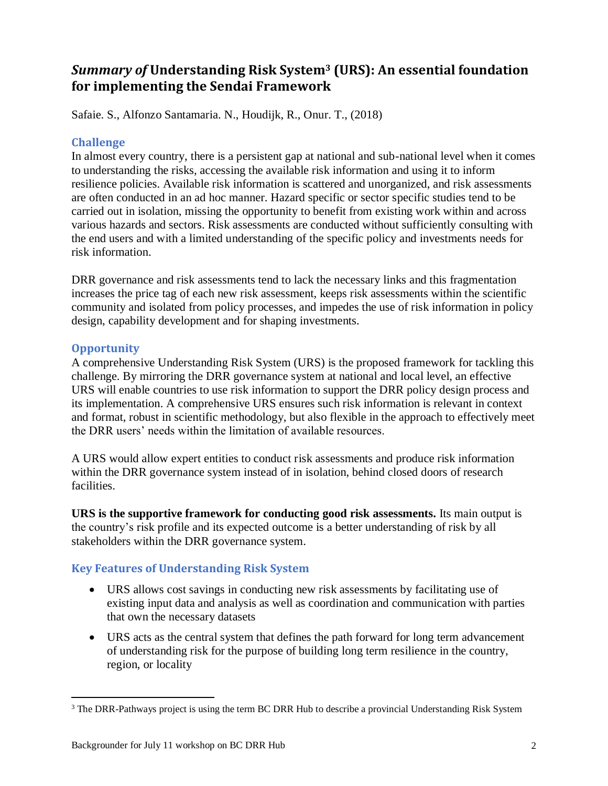# *Summary of* **Understanding Risk System<sup>3</sup> (URS): An essential foundation for implementing the Sendai Framework**

Safaie. S., Alfonzo Santamaria. N., Houdijk, R., Onur. T., (2018)

## **Challenge**

In almost every country, there is a persistent gap at national and sub-national level when it comes to understanding the risks, accessing the available risk information and using it to inform resilience policies. Available risk information is scattered and unorganized, and risk assessments are often conducted in an ad hoc manner. Hazard specific or sector specific studies tend to be carried out in isolation, missing the opportunity to benefit from existing work within and across various hazards and sectors. Risk assessments are conducted without sufficiently consulting with the end users and with a limited understanding of the specific policy and investments needs for risk information.

DRR governance and risk assessments tend to lack the necessary links and this fragmentation increases the price tag of each new risk assessment, keeps risk assessments within the scientific community and isolated from policy processes, and impedes the use of risk information in policy design, capability development and for shaping investments.

## **Opportunity**

A comprehensive Understanding Risk System (URS) is the proposed framework for tackling this challenge. By mirroring the DRR governance system at national and local level, an effective URS will enable countries to use risk information to support the DRR policy design process and its implementation. A comprehensive URS ensures such risk information is relevant in context and format, robust in scientific methodology, but also flexible in the approach to effectively meet the DRR users' needs within the limitation of available resources.

A URS would allow expert entities to conduct risk assessments and produce risk information within the DRR governance system instead of in isolation, behind closed doors of research facilities.

**URS is the supportive framework for conducting good risk assessments.** Its main output is the country's risk profile and its expected outcome is a better understanding of risk by all stakeholders within the DRR governance system.

## **Key Features of Understanding Risk System**

- URS allows cost savings in conducting new risk assessments by facilitating use of existing input data and analysis as well as coordination and communication with parties that own the necessary datasets
- URS acts as the central system that defines the path forward for long term advancement of understanding risk for the purpose of building long term resilience in the country, region, or locality

 $\overline{a}$ <sup>3</sup> The DRR-Pathways project is using the term BC DRR Hub to describe a provincial Understanding Risk System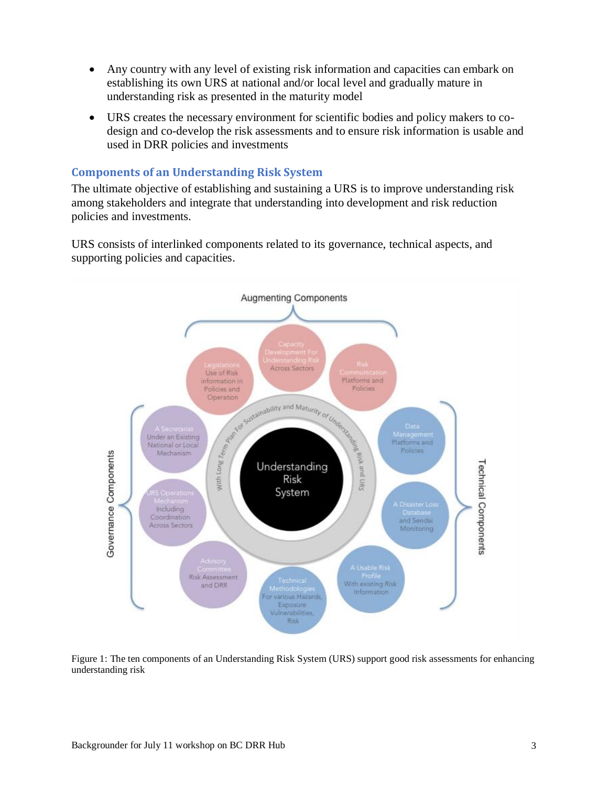- Any country with any level of existing risk information and capacities can embark on establishing its own URS at national and/or local level and gradually mature in understanding risk as presented in the maturity model
- URS creates the necessary environment for scientific bodies and policy makers to codesign and co-develop the risk assessments and to ensure risk information is usable and used in DRR policies and investments

## **Components of an Understanding Risk System**

The ultimate objective of establishing and sustaining a URS is to improve understanding risk among stakeholders and integrate that understanding into development and risk reduction policies and investments.

URS consists of interlinked components related to its governance, technical aspects, and supporting policies and capacities.



Figure 1: The ten components of an Understanding Risk System (URS) support good risk assessments for enhancing understanding risk